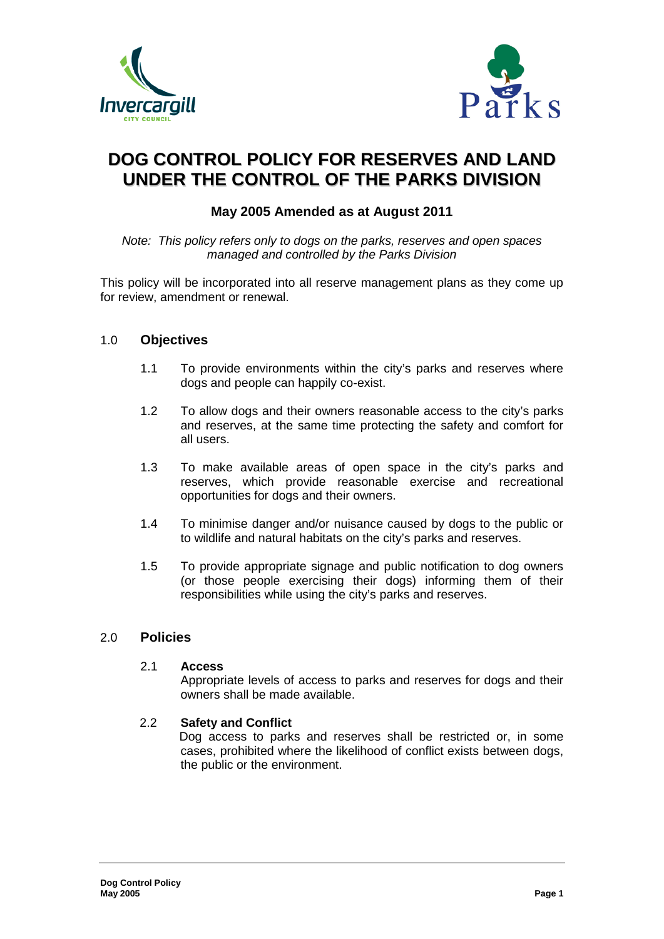



# **DOG CONTROL POLICY FOR RESERVES AND LAND UNDER THE CONTROL OF THE PARKS DIVISION**

# **May 2005 Amended as at August 2011**

*Note: This policy refers only to dogs on the parks, reserves and open spaces managed and controlled by the Parks Division*

This policy will be incorporated into all reserve management plans as they come up for review, amendment or renewal.

# 1.0 **Objectives**

- 1.1 To provide environments within the city's parks and reserves where dogs and people can happily co-exist.
- 1.2 To allow dogs and their owners reasonable access to the city's parks and reserves, at the same time protecting the safety and comfort for all users.
- 1.3 To make available areas of open space in the city's parks and reserves, which provide reasonable exercise and recreational opportunities for dogs and their owners.
- 1.4 To minimise danger and/or nuisance caused by dogs to the public or to wildlife and natural habitats on the city's parks and reserves.
- 1.5 To provide appropriate signage and public notification to dog owners (or those people exercising their dogs) informing them of their responsibilities while using the city's parks and reserves.

#### 2.0 **Policies**

#### 2.1 **Access**

Appropriate levels of access to parks and reserves for dogs and their owners shall be made available.

#### 2.2 **Safety and Conflict**

Dog access to parks and reserves shall be restricted or, in some cases, prohibited where the likelihood of conflict exists between dogs, the public or the environment.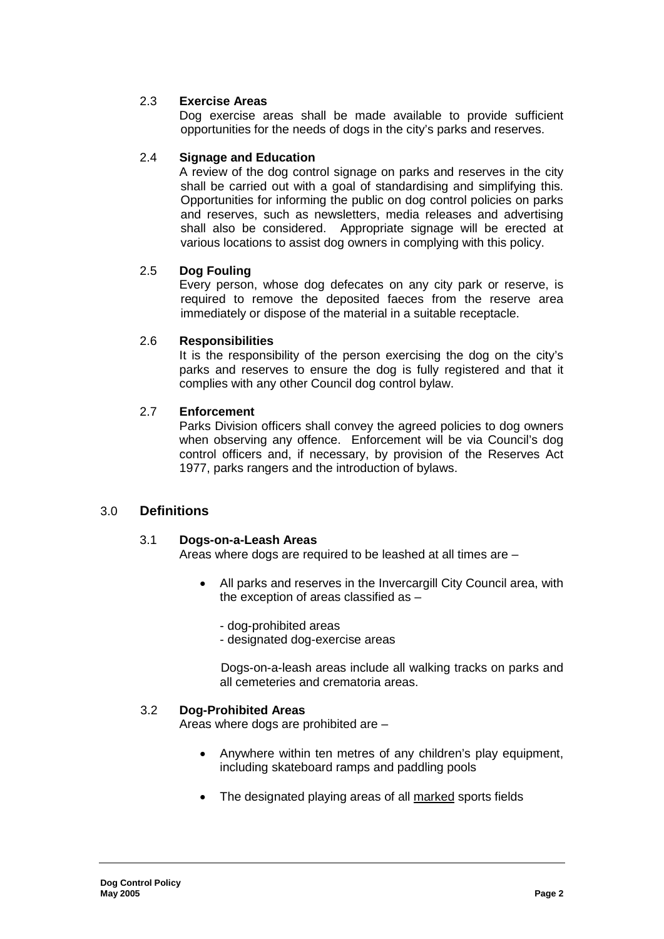# 2.3 **Exercise Areas**

Dog exercise areas shall be made available to provide sufficient opportunities for the needs of dogs in the city's parks and reserves.

# 2.4 **Signage and Education**

A review of the dog control signage on parks and reserves in the city shall be carried out with a goal of standardising and simplifying this. Opportunities for informing the public on dog control policies on parks and reserves, such as newsletters, media releases and advertising shall also be considered. Appropriate signage will be erected at various locations to assist dog owners in complying with this policy.

# 2.5 **Dog Fouling**

Every person, whose dog defecates on any city park or reserve, is required to remove the deposited faeces from the reserve area immediately or dispose of the material in a suitable receptacle.

# 2.6 **Responsibilities**

It is the responsibility of the person exercising the dog on the city's parks and reserves to ensure the dog is fully registered and that it complies with any other Council dog control bylaw.

# 2.7 **Enforcement**

Parks Division officers shall convey the agreed policies to dog owners when observing any offence. Enforcement will be via Council's dog control officers and, if necessary, by provision of the Reserves Act 1977, parks rangers and the introduction of bylaws.

# 3.0 **Definitions**

#### 3.1 **Dogs-on-a-Leash Areas**

Areas where dogs are required to be leashed at all times are –

All parks and reserves in the Invercargill City Council area, with the exception of areas classified as –

- dog-prohibited areas

- designated dog-exercise areas

Dogs-on-a-leash areas include all walking tracks on parks and all cemeteries and crematoria areas.

#### 3.2 **Dog-Prohibited Areas**

Areas where dogs are prohibited are –

- Anywhere within ten metres of any children's play equipment, including skateboard ramps and paddling pools
- The designated playing areas of all marked sports fields